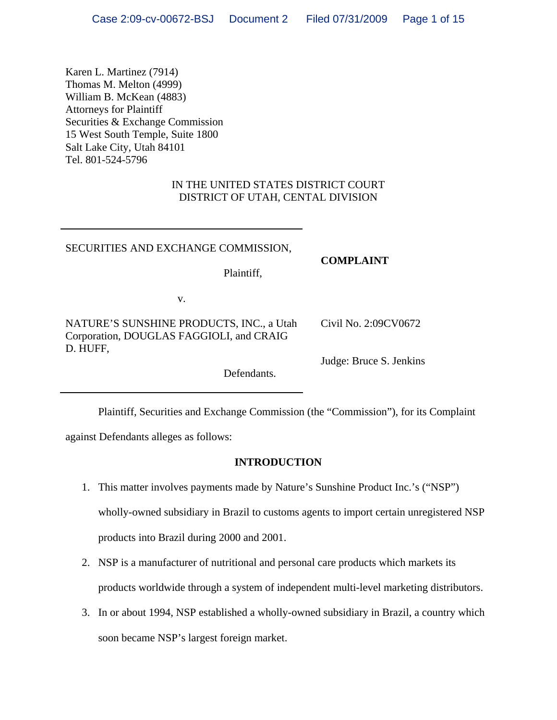Karen L. Martinez (7914) Thomas M. Melton (4999) William B. McKean (4883) Attorneys for Plaintiff Securities & Exchange Commission 15 West South Temple, Suite 1800 Salt Lake City, Utah 84101 Tel. 801-524-5796

# IN THE UNITED STATES DISTRICT COURT DISTRICT OF UTAH, CENTAL DIVISION

### SECURITIES AND EXCHANGE COMMISSION,

## **COMPLAINT**

Plaintiff,

v.

NATURE'S SUNSHINE PRODUCTS, INC., a Utah Corporation, DOUGLAS FAGGIOLI, and CRAIG D. HUFF,

Judge: Bruce S. Jenkins

Civil No. 2:09CV0672

Defendants.

Plaintiff, Securities and Exchange Commission (the "Commission"), for its Complaint

against Defendants alleges as follows:

## **INTRODUCTION**

- 1. This matter involves payments made by Nature's Sunshine Product Inc.'s ("NSP") wholly-owned subsidiary in Brazil to customs agents to import certain unregistered NSP products into Brazil during 2000 and 2001.
- 2. NSP is a manufacturer of nutritional and personal care products which markets its products worldwide through a system of independent multi-level marketing distributors.
- 3. In or about 1994, NSP established a wholly-owned subsidiary in Brazil, a country which soon became NSP's largest foreign market.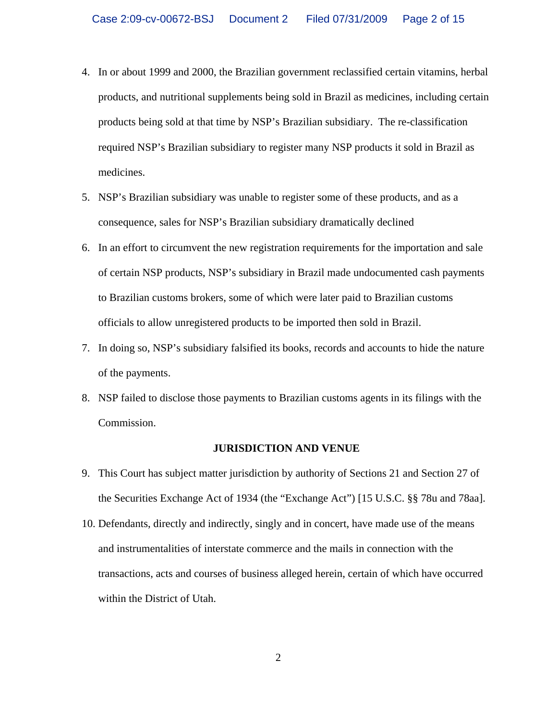- 4. In or about 1999 and 2000, the Brazilian government reclassified certain vitamins, herbal products, and nutritional supplements being sold in Brazil as medicines, including certain products being sold at that time by NSP's Brazilian subsidiary. The re-classification required NSP's Brazilian subsidiary to register many NSP products it sold in Brazil as medicines.
- 5. NSP's Brazilian subsidiary was unable to register some of these products, and as a consequence, sales for NSP's Brazilian subsidiary dramatically declined
- 6. In an effort to circumvent the new registration requirements for the importation and sale of certain NSP products, NSP's subsidiary in Brazil made undocumented cash payments to Brazilian customs brokers, some of which were later paid to Brazilian customs officials to allow unregistered products to be imported then sold in Brazil.
- 7. In doing so, NSP's subsidiary falsified its books, records and accounts to hide the nature of the payments.
- 8. NSP failed to disclose those payments to Brazilian customs agents in its filings with the Commission.

#### **JURISDICTION AND VENUE**

- 9. This Court has subject matter jurisdiction by authority of Sections 21 and Section 27 of the Securities Exchange Act of 1934 (the "Exchange Act") [15 U.S.C. §§ 78u and 78aa].
- 10. Defendants, directly and indirectly, singly and in concert, have made use of the means and instrumentalities of interstate commerce and the mails in connection with the transactions, acts and courses of business alleged herein, certain of which have occurred within the District of Utah.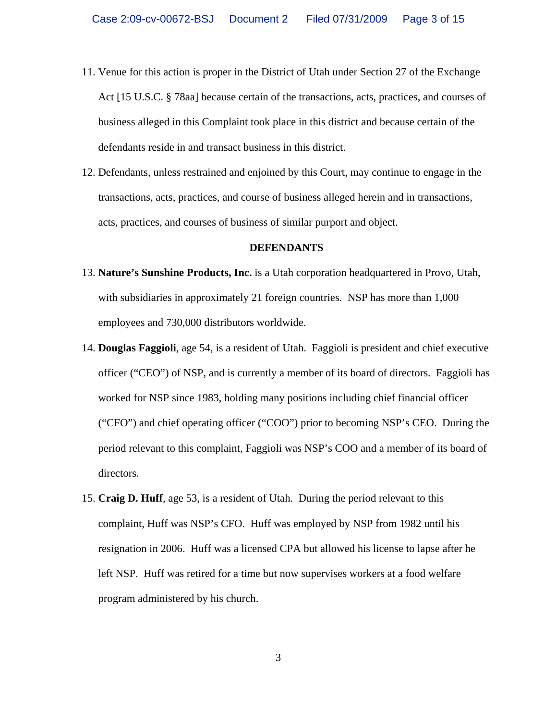- 11. Venue for this action is proper in the District of Utah under Section 27 of the Exchange Act [15 U.S.C. § 78aa] because certain of the transactions, acts, practices, and courses of business alleged in this Complaint took place in this district and because certain of the defendants reside in and transact business in this district.
- 12. Defendants, unless restrained and enjoined by this Court, may continue to engage in the transactions, acts, practices, and course of business alleged herein and in transactions, acts, practices, and courses of business of similar purport and object.

### **DEFENDANTS**

- 13. **Nature's Sunshine Products, Inc.** is a Utah corporation headquartered in Provo, Utah, with subsidiaries in approximately 21 foreign countries. NSP has more than 1,000 employees and 730,000 distributors worldwide.
- 14. **Douglas Faggioli**, age 54, is a resident of Utah. Faggioli is president and chief executive officer ("CEO") of NSP, and is currently a member of its board of directors. Faggioli has worked for NSP since 1983, holding many positions including chief financial officer ("CFO") and chief operating officer ("COO") prior to becoming NSP's CEO. During the period relevant to this complaint, Faggioli was NSP's COO and a member of its board of directors.
- 15. **Craig D. Huff**, age 53, is a resident of Utah. During the period relevant to this complaint, Huff was NSP's CFO. Huff was employed by NSP from 1982 until his resignation in 2006. Huff was a licensed CPA but allowed his license to lapse after he left NSP. Huff was retired for a time but now supervises workers at a food welfare program administered by his church.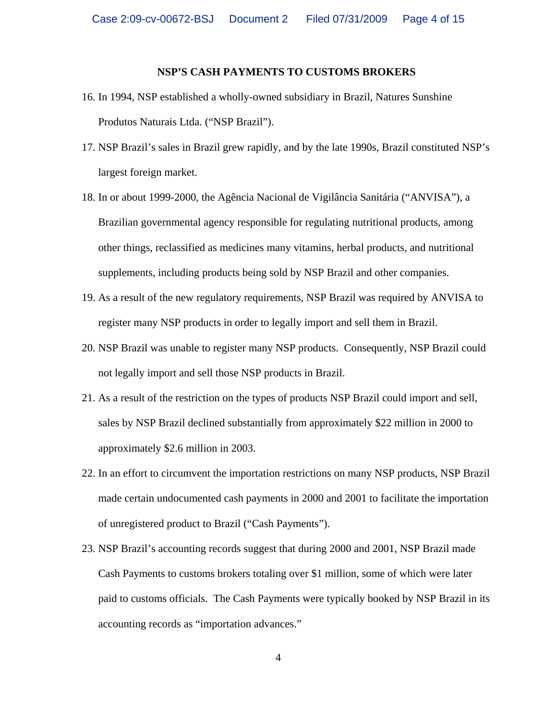### **NSP'S CASH PAYMENTS TO CUSTOMS BROKERS**

- 16. In 1994, NSP established a wholly-owned subsidiary in Brazil, Natures Sunshine Produtos Naturais Ltda. ("NSP Brazil").
- 17. NSP Brazil's sales in Brazil grew rapidly, and by the late 1990s, Brazil constituted NSP's largest foreign market.
- 18. In or about 1999-2000, the Agência Nacional de Vigilância Sanitária ("ANVISA"), a Brazilian governmental agency responsible for regulating nutritional products, among other things, reclassified as medicines many vitamins, herbal products, and nutritional supplements, including products being sold by NSP Brazil and other companies.
- 19. As a result of the new regulatory requirements, NSP Brazil was required by ANVISA to register many NSP products in order to legally import and sell them in Brazil.
- 20. NSP Brazil was unable to register many NSP products. Consequently, NSP Brazil could not legally import and sell those NSP products in Brazil.
- 21. As a result of the restriction on the types of products NSP Brazil could import and sell, sales by NSP Brazil declined substantially from approximately \$22 million in 2000 to approximately \$2.6 million in 2003.
- 22. In an effort to circumvent the importation restrictions on many NSP products, NSP Brazil made certain undocumented cash payments in 2000 and 2001 to facilitate the importation of unregistered product to Brazil ("Cash Payments").
- 23. NSP Brazil's accounting records suggest that during 2000 and 2001, NSP Brazil made Cash Payments to customs brokers totaling over \$1 million, some of which were later paid to customs officials. The Cash Payments were typically booked by NSP Brazil in its accounting records as "importation advances."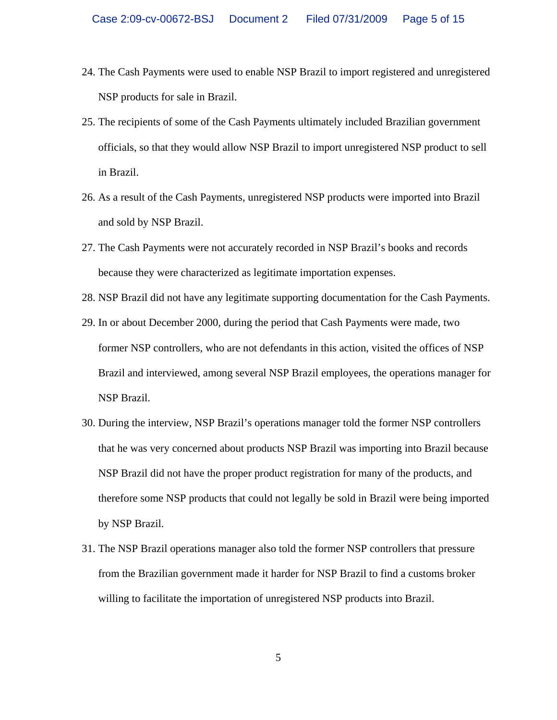- 24. The Cash Payments were used to enable NSP Brazil to import registered and unregistered NSP products for sale in Brazil.
- 25. The recipients of some of the Cash Payments ultimately included Brazilian government officials, so that they would allow NSP Brazil to import unregistered NSP product to sell in Brazil.
- 26. As a result of the Cash Payments, unregistered NSP products were imported into Brazil and sold by NSP Brazil.
- 27. The Cash Payments were not accurately recorded in NSP Brazil's books and records because they were characterized as legitimate importation expenses.
- 28. NSP Brazil did not have any legitimate supporting documentation for the Cash Payments.
- 29. In or about December 2000, during the period that Cash Payments were made, two former NSP controllers, who are not defendants in this action, visited the offices of NSP Brazil and interviewed, among several NSP Brazil employees, the operations manager for NSP Brazil.
- 30. During the interview, NSP Brazil's operations manager told the former NSP controllers that he was very concerned about products NSP Brazil was importing into Brazil because NSP Brazil did not have the proper product registration for many of the products, and therefore some NSP products that could not legally be sold in Brazil were being imported by NSP Brazil.
- 31. The NSP Brazil operations manager also told the former NSP controllers that pressure from the Brazilian government made it harder for NSP Brazil to find a customs broker willing to facilitate the importation of unregistered NSP products into Brazil.

5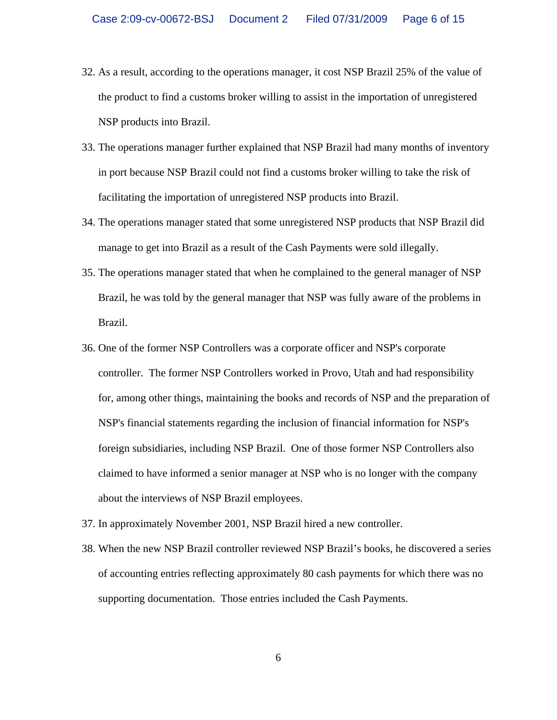- 32. As a result, according to the operations manager, it cost NSP Brazil 25% of the value of the product to find a customs broker willing to assist in the importation of unregistered NSP products into Brazil.
- 33. The operations manager further explained that NSP Brazil had many months of inventory in port because NSP Brazil could not find a customs broker willing to take the risk of facilitating the importation of unregistered NSP products into Brazil.
- 34. The operations manager stated that some unregistered NSP products that NSP Brazil did manage to get into Brazil as a result of the Cash Payments were sold illegally.
- 35. The operations manager stated that when he complained to the general manager of NSP Brazil, he was told by the general manager that NSP was fully aware of the problems in Brazil.
- 36. One of the former NSP Controllers was a corporate officer and NSP's corporate controller. The former NSP Controllers worked in Provo, Utah and had responsibility for, among other things, maintaining the books and records of NSP and the preparation of NSP's financial statements regarding the inclusion of financial information for NSP's foreign subsidiaries, including NSP Brazil. One of those former NSP Controllers also claimed to have informed a senior manager at NSP who is no longer with the company about the interviews of NSP Brazil employees.
- 37. In approximately November 2001, NSP Brazil hired a new controller.
- 38. When the new NSP Brazil controller reviewed NSP Brazil's books, he discovered a series of accounting entries reflecting approximately 80 cash payments for which there was no supporting documentation. Those entries included the Cash Payments.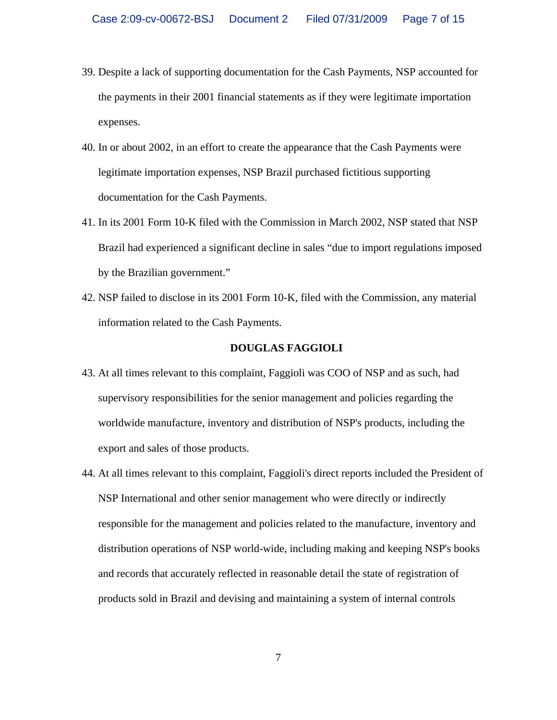- 39. Despite a lack of supporting documentation for the Cash Payments, NSP accounted for the payments in their 2001 financial statements as if they were legitimate importation expenses.
- 40. In or about 2002, in an effort to create the appearance that the Cash Payments were legitimate importation expenses, NSP Brazil purchased fictitious supporting documentation for the Cash Payments.
- 41. In its 2001 Form 10-K filed with the Commission in March 2002, NSP stated that NSP Brazil had experienced a significant decline in sales "due to import regulations imposed by the Brazilian government."
- 42. NSP failed to disclose in its 2001 Form 10-K, filed with the Commission, any material information related to the Cash Payments.

### **DOUGLAS FAGGIOLI**

- 43. At all times relevant to this complaint, Faggioli was COO of NSP and as such, had supervisory responsibilities for the senior management and policies regarding the worldwide manufacture, inventory and distribution of NSP's products, including the export and sales of those products.
- 44. At all times relevant to this complaint, Faggioli's direct reports included the President of NSP International and other senior management who were directly or indirectly responsible for the management and policies related to the manufacture, inventory and distribution operations of NSP world-wide, including making and keeping NSP's books and records that accurately reflected in reasonable detail the state of registration of products sold in Brazil and devising and maintaining a system of internal controls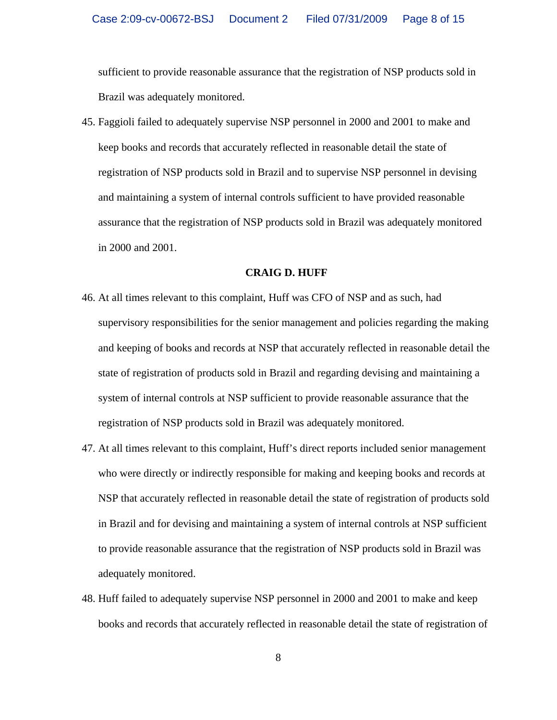sufficient to provide reasonable assurance that the registration of NSP products sold in Brazil was adequately monitored.

45. Faggioli failed to adequately supervise NSP personnel in 2000 and 2001 to make and keep books and records that accurately reflected in reasonable detail the state of registration of NSP products sold in Brazil and to supervise NSP personnel in devising and maintaining a system of internal controls sufficient to have provided reasonable assurance that the registration of NSP products sold in Brazil was adequately monitored in 2000 and 2001.

### **CRAIG D. HUFF**

- 46. At all times relevant to this complaint, Huff was CFO of NSP and as such, had supervisory responsibilities for the senior management and policies regarding the making and keeping of books and records at NSP that accurately reflected in reasonable detail the state of registration of products sold in Brazil and regarding devising and maintaining a system of internal controls at NSP sufficient to provide reasonable assurance that the registration of NSP products sold in Brazil was adequately monitored.
- 47. At all times relevant to this complaint, Huff's direct reports included senior management who were directly or indirectly responsible for making and keeping books and records at NSP that accurately reflected in reasonable detail the state of registration of products sold in Brazil and for devising and maintaining a system of internal controls at NSP sufficient to provide reasonable assurance that the registration of NSP products sold in Brazil was adequately monitored.
- 48. Huff failed to adequately supervise NSP personnel in 2000 and 2001 to make and keep books and records that accurately reflected in reasonable detail the state of registration of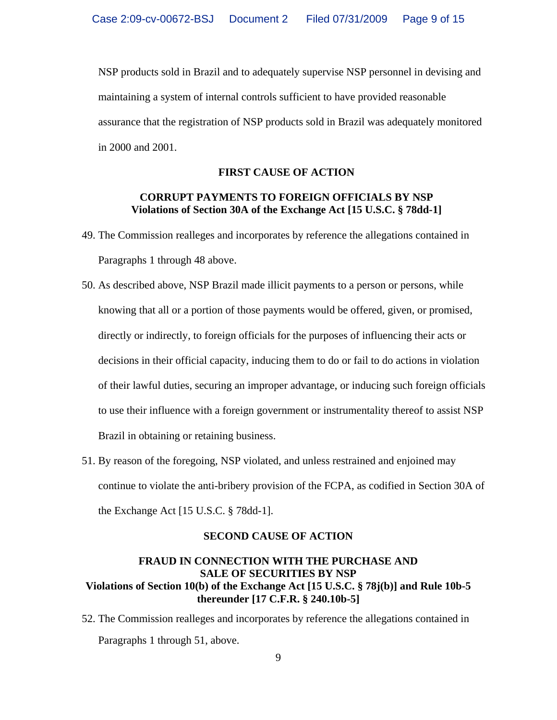NSP products sold in Brazil and to adequately supervise NSP personnel in devising and maintaining a system of internal controls sufficient to have provided reasonable assurance that the registration of NSP products sold in Brazil was adequately monitored in 2000 and 2001.

### **FIRST CAUSE OF ACTION**

## **CORRUPT PAYMENTS TO FOREIGN OFFICIALS BY NSP Violations of Section 30A of the Exchange Act [15 U.S.C. § 78dd-1]**

- 49. The Commission realleges and incorporates by reference the allegations contained in Paragraphs 1 through 48 above.
- 50. As described above, NSP Brazil made illicit payments to a person or persons, while knowing that all or a portion of those payments would be offered, given, or promised, directly or indirectly, to foreign officials for the purposes of influencing their acts or decisions in their official capacity, inducing them to do or fail to do actions in violation of their lawful duties, securing an improper advantage, or inducing such foreign officials to use their influence with a foreign government or instrumentality thereof to assist NSP Brazil in obtaining or retaining business.
- 51. By reason of the foregoing, NSP violated, and unless restrained and enjoined may continue to violate the anti-bribery provision of the FCPA, as codified in Section 30A of the Exchange Act [15 U.S.C. § 78dd-1].

### **SECOND CAUSE OF ACTION**

# **FRAUD IN CONNECTION WITH THE PURCHASE AND SALE OF SECURITIES BY NSP Violations of Section 10(b) of the Exchange Act [15 U.S.C. § 78j(b)] and Rule 10b-5 thereunder [17 C.F.R. § 240.10b-5]**

52. The Commission realleges and incorporates by reference the allegations contained in Paragraphs 1 through 51, above.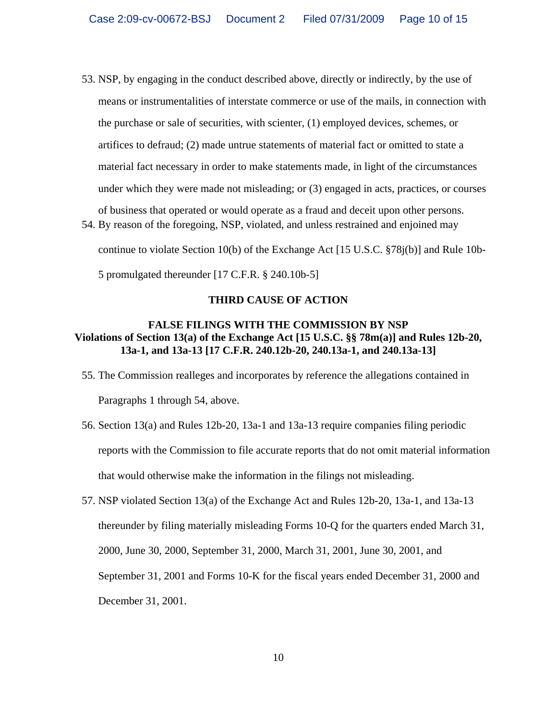- 53. NSP, by engaging in the conduct described above, directly or indirectly, by the use of means or instrumentalities of interstate commerce or use of the mails, in connection with the purchase or sale of securities, with scienter, (1) employed devices, schemes, or artifices to defraud; (2) made untrue statements of material fact or omitted to state a material fact necessary in order to make statements made, in light of the circumstances under which they were made not misleading; or (3) engaged in acts, practices, or courses of business that operated or would operate as a fraud and deceit upon other persons. 54. By reason of the foregoing, NSP, violated, and unless restrained and enjoined may
	- continue to violate Section 10(b) of the Exchange Act [15 U.S.C. §78j(b)] and Rule 10b-

5 promulgated thereunder [17 C.F.R. § 240.10b-5]

# **THIRD CAUSE OF ACTION**

# **FALSE FILINGS WITH THE COMMISSION BY NSP Violations of Section 13(a) of the Exchange Act [15 U.S.C. §§ 78m(a)] and Rules 12b-20, 13a-1, and 13a-13 [17 C.F.R. 240.12b-20, 240.13a-1, and 240.13a-13]**

- 55. The Commission realleges and incorporates by reference the allegations contained in Paragraphs 1 through 54, above.
- 56. Section 13(a) and Rules 12b-20, 13a-1 and 13a-13 require companies filing periodic reports with the Commission to file accurate reports that do not omit material information that would otherwise make the information in the filings not misleading.
- 57. NSP violated Section 13(a) of the Exchange Act and Rules 12b-20, 13a-1, and 13a-13 thereunder by filing materially misleading Forms 10-Q for the quarters ended March 31, 2000, June 30, 2000, September 31, 2000, March 31, 2001, June 30, 2001, and September 31, 2001 and Forms 10-K for the fiscal years ended December 31, 2000 and December 31, 2001.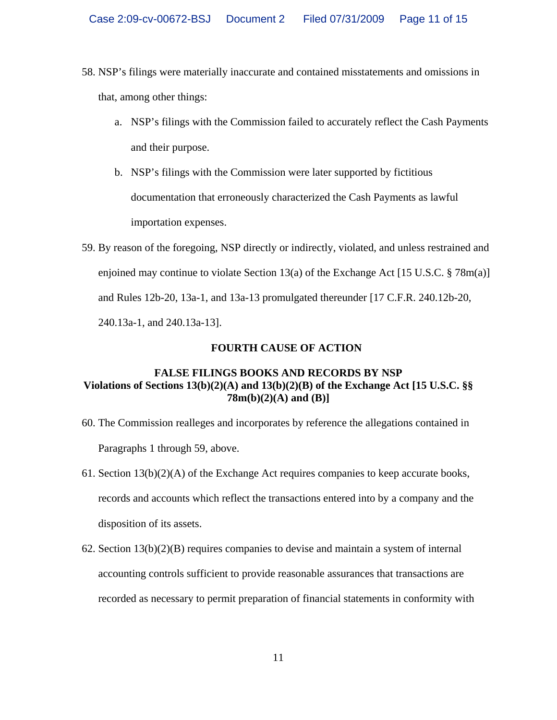- 58. NSP's filings were materially inaccurate and contained misstatements and omissions in that, among other things:
	- a. NSP's filings with the Commission failed to accurately reflect the Cash Payments and their purpose.
	- b. NSP's filings with the Commission were later supported by fictitious documentation that erroneously characterized the Cash Payments as lawful importation expenses.
- 59. By reason of the foregoing, NSP directly or indirectly, violated, and unless restrained and enjoined may continue to violate Section 13(a) of the Exchange Act [15 U.S.C. § 78 $m(a)$ ] and Rules 12b-20, 13a-1, and 13a-13 promulgated thereunder [17 C.F.R. 240.12b-20, 240.13a-1, and 240.13a-13].

# **FOURTH CAUSE OF ACTION**

# **FALSE FILINGS BOOKS AND RECORDS BY NSP Violations of Sections 13(b)(2)(A) and 13(b)(2)(B) of the Exchange Act [15 U.S.C. §§ 78m(b)(2)(A) and (B)]**

- 60. The Commission realleges and incorporates by reference the allegations contained in Paragraphs 1 through 59, above.
- 61. Section  $13(b)(2)(A)$  of the Exchange Act requires companies to keep accurate books, records and accounts which reflect the transactions entered into by a company and the disposition of its assets.
- 62. Section 13(b)(2)(B) requires companies to devise and maintain a system of internal accounting controls sufficient to provide reasonable assurances that transactions are recorded as necessary to permit preparation of financial statements in conformity with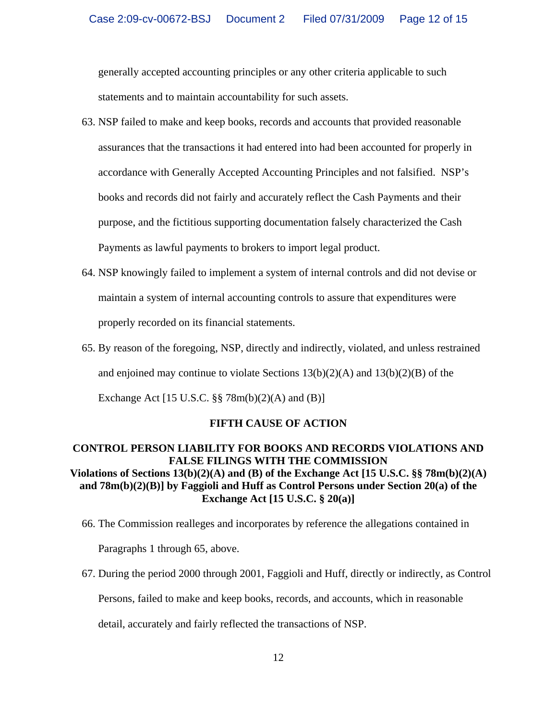generally accepted accounting principles or any other criteria applicable to such statements and to maintain accountability for such assets.

- 63. NSP failed to make and keep books, records and accounts that provided reasonable assurances that the transactions it had entered into had been accounted for properly in accordance with Generally Accepted Accounting Principles and not falsified. NSP's books and records did not fairly and accurately reflect the Cash Payments and their purpose, and the fictitious supporting documentation falsely characterized the Cash Payments as lawful payments to brokers to import legal product.
- 64. NSP knowingly failed to implement a system of internal controls and did not devise or maintain a system of internal accounting controls to assure that expenditures were properly recorded on its financial statements.
- 65. By reason of the foregoing, NSP, directly and indirectly, violated, and unless restrained and enjoined may continue to violate Sections  $13(b)(2)(A)$  and  $13(b)(2)(B)$  of the

Exchange Act  $[15 \text{ U.S.C. }$ §§ 78m(b)(2)(A) and (B)]

# **FIFTH CAUSE OF ACTION**

# **CONTROL PERSON LIABILITY FOR BOOKS AND RECORDS VIOLATIONS AND FALSE FILINGS WITH THE COMMISSION Violations of Sections 13(b)(2)(A) and (B) of the Exchange Act [15 U.S.C. §§ 78m(b)(2)(A) and 78m(b)(2)(B)] by Faggioli and Huff as Control Persons under Section 20(a) of the Exchange Act [15 U.S.C. § 20(a)]**

- 66. The Commission realleges and incorporates by reference the allegations contained in Paragraphs 1 through 65, above.
- 67. During the period 2000 through 2001, Faggioli and Huff, directly or indirectly, as Control Persons, failed to make and keep books, records, and accounts, which in reasonable detail, accurately and fairly reflected the transactions of NSP.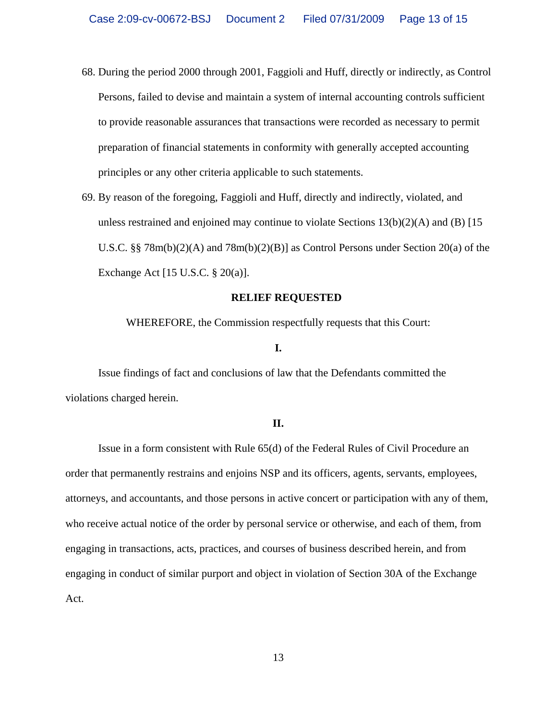- 68. During the period 2000 through 2001, Faggioli and Huff, directly or indirectly, as Control Persons, failed to devise and maintain a system of internal accounting controls sufficient to provide reasonable assurances that transactions were recorded as necessary to permit preparation of financial statements in conformity with generally accepted accounting principles or any other criteria applicable to such statements.
- 69. By reason of the foregoing, Faggioli and Huff, directly and indirectly, violated, and unless restrained and enjoined may continue to violate Sections  $13(b)(2)(A)$  and  $(B)$  [15] U.S.C. §§  $78m(b)(2)(A)$  and  $78m(b)(2)(B)$ ] as Control Persons under Section 20(a) of the Exchange Act [15 U.S.C. § 20(a)].

#### **RELIEF REQUESTED**

WHEREFORE, the Commission respectfully requests that this Court:

#### **I.**

 Issue findings of fact and conclusions of law that the Defendants committed the violations charged herein.

#### **II.**

 Issue in a form consistent with Rule 65(d) of the Federal Rules of Civil Procedure an order that permanently restrains and enjoins NSP and its officers, agents, servants, employees, attorneys, and accountants, and those persons in active concert or participation with any of them, who receive actual notice of the order by personal service or otherwise, and each of them, from engaging in transactions, acts, practices, and courses of business described herein, and from engaging in conduct of similar purport and object in violation of Section 30A of the Exchange Act.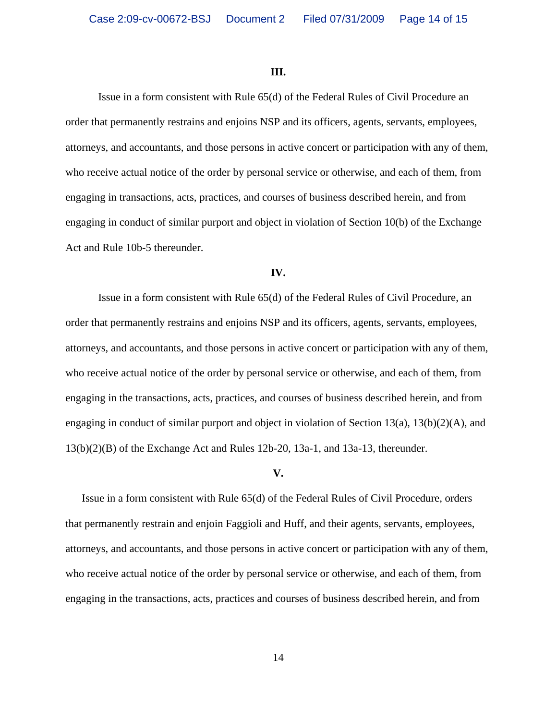#### **III.**

 Issue in a form consistent with Rule 65(d) of the Federal Rules of Civil Procedure an order that permanently restrains and enjoins NSP and its officers, agents, servants, employees, attorneys, and accountants, and those persons in active concert or participation with any of them, who receive actual notice of the order by personal service or otherwise, and each of them, from engaging in transactions, acts, practices, and courses of business described herein, and from engaging in conduct of similar purport and object in violation of Section 10(b) of the Exchange Act and Rule 10b-5 thereunder.

#### **IV.**

 Issue in a form consistent with Rule 65(d) of the Federal Rules of Civil Procedure, an order that permanently restrains and enjoins NSP and its officers, agents, servants, employees, attorneys, and accountants, and those persons in active concert or participation with any of them, who receive actual notice of the order by personal service or otherwise, and each of them, from engaging in the transactions, acts, practices, and courses of business described herein, and from engaging in conduct of similar purport and object in violation of Section 13(a), 13(b)(2)(A), and 13(b)(2)(B) of the Exchange Act and Rules 12b-20, 13a-1, and 13a-13, thereunder.

#### **V.**

Issue in a form consistent with Rule 65(d) of the Federal Rules of Civil Procedure, orders that permanently restrain and enjoin Faggioli and Huff, and their agents, servants, employees, attorneys, and accountants, and those persons in active concert or participation with any of them, who receive actual notice of the order by personal service or otherwise, and each of them, from engaging in the transactions, acts, practices and courses of business described herein, and from